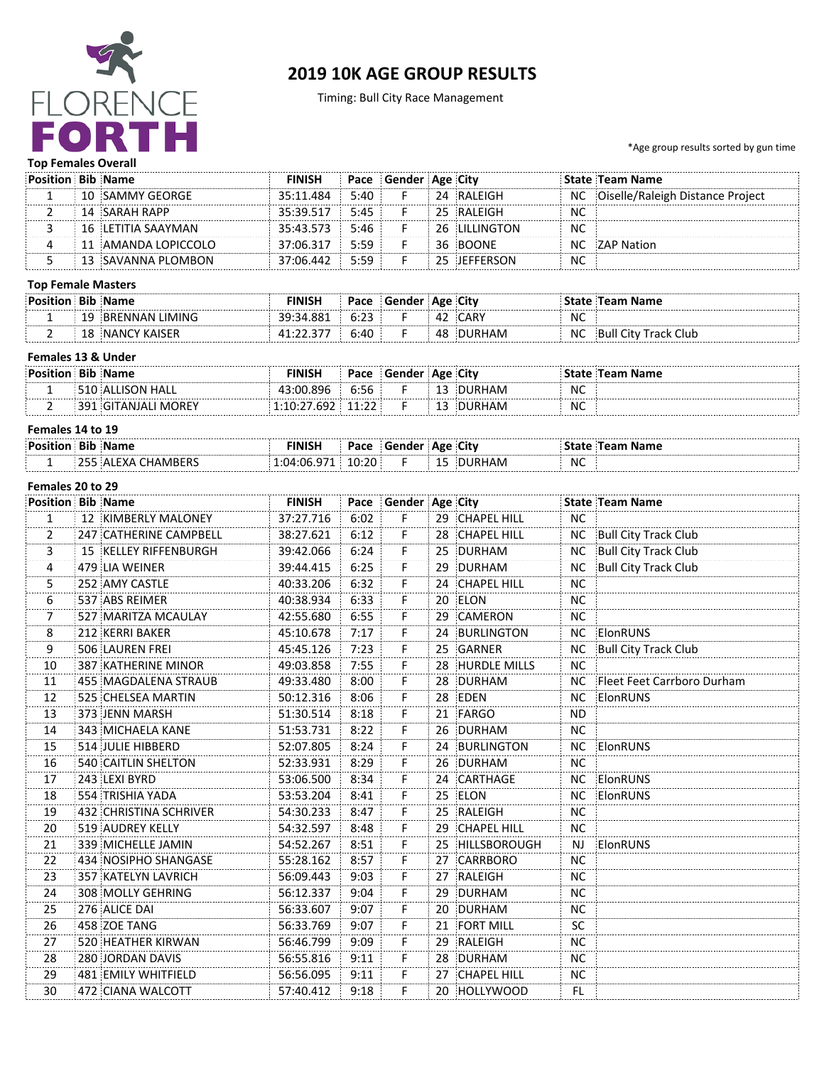

# **2019 10K AGE GROUP RESULTS**

Timing: Bull City Race Management

\*Age group results sorted by gun time

## **Top Females Overall**

| Position Bib Name |                     | FINISH    |      | Pace Gender Age City |    |                |           | State Team Name                  |
|-------------------|---------------------|-----------|------|----------------------|----|----------------|-----------|----------------------------------|
|                   | 10 SAMMY GEORGE     | 35:11.484 | 5:40 |                      | 24 | RAI FIGH       | NC        | Oiselle/Raleigh Distance Project |
|                   | 14 SARAH RAPP       | 35:39.517 | 5:45 |                      |    | 25 RALEIGH     | NC        |                                  |
|                   | 16 ELETITIA SAAYMAN | 35:43.573 | 5:46 |                      |    | 26 ILILLINGTON | <b>NC</b> |                                  |
|                   | 11 AMANDA LOPICCOLO | 37:06.317 | 5:59 |                      |    | 36 BOONE       | ΝC        | 7AP Nation!!!                    |
|                   | 13 SAVANNA PLOMBON  | 37:06.442 | 5:59 |                      |    | 25 IFFFFRSON   | <b>NC</b> |                                  |

#### **Top Female Masters**

| <b>Position</b> | Bib | <b>Name</b>              | FINISH | Pace                | Gender   Age   City |    |             |    | Team Name           |
|-----------------|-----|--------------------------|--------|---------------------|---------------------|----|-------------|----|---------------------|
|                 |     | BRENNAN LIMING!          | .881   | ⊥•ລ≏<br><b>U.LJ</b> |                     |    | <b>CARV</b> | NC |                     |
|                 | τo  | ' KAISER<br><b>NANCY</b> |        | 6:40                |                     | 48 |             | N. | Track Club<br>⊹Bull |

# **Females 13 & Under**

| Position Bib Name |                     | FINISH      | Pace                     | <b>Gender Age City</b> |        |     | <b>State Team Name</b> |
|-------------------|---------------------|-------------|--------------------------|------------------------|--------|-----|------------------------|
|                   | 510 ALLISON HALL    | 43.00.896   | 6:56                     |                        | DURHAM | NC. |                        |
|                   | 391 GITANJALI MOREY | 1.10.77.607 | 11. ገገ<br>. <i>. .</i> . |                        | DURHAM | NC  |                        |

### Females 14 to 19

| <b>Posi</b> | ы | <b>INISF</b> | в.,<br>-au | - --<br>тю |         |           |  |
|-------------|---|--------------|------------|------------|---------|-----------|--|
| -           |   |              |            |            | <b></b> | <b>NC</b> |  |

#### Females 20 to 29

| <b>Position Bib Name</b> |                        | <b>FINISH</b> |      | Pace Gender Age City |    |                 |           | State Team Name               |
|--------------------------|------------------------|---------------|------|----------------------|----|-----------------|-----------|-------------------------------|
| $\mathbf{1}$             | 12 KIMBERLY MALONEY    | 37:27.716     | 6:02 | F.                   |    | 29 CHAPEL HILL  | <b>NC</b> |                               |
| 2                        | 247 CATHERINE CAMPBELL | 38:27.621     | 6:12 | F.                   |    | 28 CHAPEL HILL  | NC.       | <b>Bull City Track Club</b>   |
| 3                        | 15 KELLEY RIFFENBURGH  | 39:42.066     | 6:24 | F.                   | 25 | DURHAM          | <b>NC</b> | <b>Bull City Track Club</b>   |
| 4                        | 479 LIA WEINER         | 39:44.415     | 6:25 | $\mathsf F$          |    | 29 DURHAM       | <b>NC</b> | <b>Bull City Track Club</b>   |
| 5.                       | 252 AMY CASTLE         | 40:33.206     | 6:32 | F.                   |    | 24 CHAPEL HILL  | NC.       |                               |
| 6                        | 537 ABS REIMER         | 40:38.934     | 6:33 | $\mathsf F$          |    | 20 ELON         | <b>NC</b> |                               |
| 7                        | 527 MARITZA MCAULAY    | 42:55.680     | 6:55 | F.                   |    | 29 CAMERON      | NC.       |                               |
| 8                        | 212 KERRI BAKER        | 45:10.678     | 7:17 | F.                   |    | 24 BURLINGTON   | NC.       | ElonRUNS                      |
| 9<br>.                   | 506 LAUREN FREI        | 45:45.126     | 7:23 | $\mathsf F$          |    | 25 GARNER       | <b>NC</b> | Bull City Track Club          |
| 10                       | 387 KATHERINE MINOR    | 49:03.858     | 7:55 | F.                   |    | 28 HURDLE MILLS | NC.       |                               |
| 11                       | 455 MAGDALENA STRAUB   | 49:33.480     | 8:00 | F.                   |    | 28 DURHAM       |           | NC Fleet Feet Carrboro Durham |
| 12                       | 525 CHELSEA MARTIN     | 50:12.316     | 8:06 | F                    |    | 28 EDEN         | NC.       | ElonRUNS                      |
| 13                       | 373 JENN MARSH         | 51:30.514     | 8:18 | F.                   |    | 21 FARGO        | <b>ND</b> |                               |
| 14                       | 343 MICHAELA KANE      | 51:53.731     | 8:22 | F                    |    | 26 DURHAM       | <b>NC</b> |                               |
| 15                       | 514 JULIE HIBBERD      | 52:07.805     | 8:24 | F.                   |    | 24 BURLINGTON   | NC.       | ElonRUNS                      |
| 16                       | 540 CAITLIN SHELTON    | 52:33.931     | 8:29 | F.                   |    | 26 DURHAM       | <b>NC</b> |                               |
| 17                       | 243 LEXI BYRD          | 53:06.500     | 8:34 | $\dddot{\mathsf{F}}$ |    | 24 CARTHAGE     | <b>NC</b> | ElonRUNS                      |
| 18                       | 554 TRISHIA YADA       | 53:53.204     | 8:41 | F.                   |    | 25 ELON         | NC.       | ElonRUNS                      |
| 19                       | 432 CHRISTINA SCHRIVER | 54:30.233     | 8:47 | F.                   |    | 25 RALEIGH      | <b>NC</b> |                               |
| 20                       | 519 AUDREY KELLY       | 54:32.597     | 8:48 | F.                   |    | 29 CHAPEL HILL  | NC.       |                               |
| 21                       | 339 MICHELLE JAMIN     | 54:52.267     | 8:51 | F.                   |    | 25 HILLSBOROUGH | NJ.       | ElonRUNS                      |
| 22                       | 434 NOSIPHO SHANGASE   | 55:28.162     | 8:57 | F.                   |    | 27 CARRBORO     | <b>NC</b> |                               |
| 23                       | 357 KATELYN LAVRICH    | 56:09.443     | 9:03 | F.                   | 27 | RALEIGH         | <b>NC</b> |                               |
| 24                       | 308 MOLLY GEHRING      | 56:12.337     | 9:04 | F.                   | 29 | <b>DURHAM</b>   | <b>NC</b> |                               |
| 25                       | 276 ALICE DAI          | 56:33.607     | 9:07 | Ŧ                    |    | 20 DURHAM       | NC.       |                               |
| 26                       | 458 ZOE TANG           | 56:33.769     | 9:07 | F.                   |    | 21 FORT MILL    | <b>SC</b> |                               |
| 27                       | 520 HEATHER KIRWAN     | 56:46.799     | 9:09 | F.                   |    | 29 RALEIGH      | <b>NC</b> |                               |
| 28                       | 280 JORDAN DAVIS       | 56:55.816     | 9:11 | F.                   |    | 28 DURHAM       | <b>NC</b> |                               |
| 29                       | 481 EMILY WHITFIELD    | 56:56.095     | 9:11 | F.                   |    | 27 CHAPEL HILL  | <b>NC</b> |                               |
| 30                       | 472 CIANA WALCOTT      | 57:40.412     | 9:18 | F                    |    | 20 HOLLYWOOD    | FL.       |                               |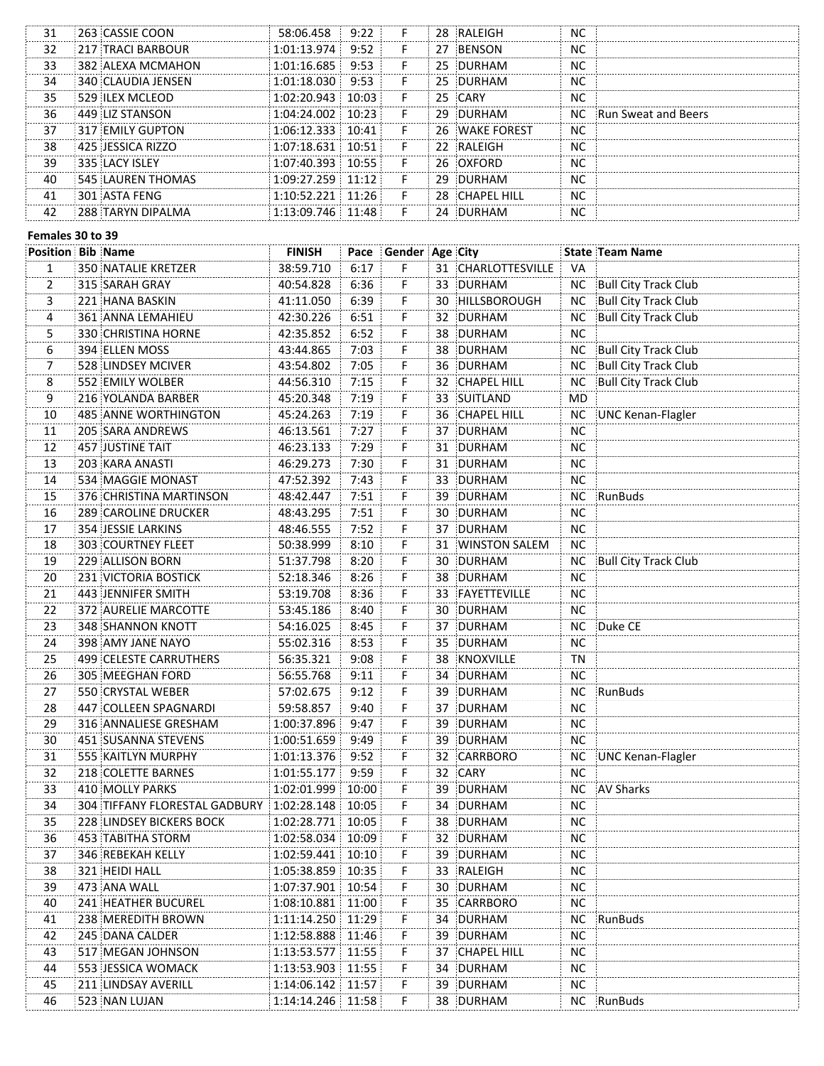| 31 | 263 CASSIE COON          | 58:06.458   | 9:22  | 28. | - RAI FIGH     | NC        |                        |
|----|--------------------------|-------------|-------|-----|----------------|-----------|------------------------|
| 32 | <b>217 TRACI BARBOUR</b> | 1:01:13.974 | 9:52  | 27  | <b>RENSON</b>  | NC        |                        |
| 33 | 382 ALEXA MCMAHON        | 1:01:16.685 | 9:53  |     | 25 DURHAM      | <b>NC</b> |                        |
| 34 | 340 CLAUDIA JENSEN       | 1:01:18.030 | 9:53  |     | 25 DURHAM      | <b>NC</b> |                        |
| 35 | <b>529 ILEX MCLEOD</b>   | 1:02:20 943 | 10.03 | 25. | CARY           | NC        |                        |
| 36 | 449 LIZ STANSON          | 1:04:24.002 | 10.23 |     | 29 DURHAM      |           | NC Run Sweat and Beers |
| 37 | <b>317 EMILY GUPTON</b>  | 1:06:12.333 | 10:41 |     | 26 WAKE FOREST | NC        |                        |
| 38 | 425 JESSICA RIZZO        | 1:07:18.631 | 10.51 |     | 22 RAI FIGH    | NC        |                        |
| 39 | <b>335 LACY ISLEY</b>    | 1.07.40.393 | 10.55 | 26  | <b>MOXEORD</b> | <b>NC</b> |                        |
| 40 | 545 LAUREN THOMAS        | ・೧۹・フフ フ59  | 11.12 | 29  | <b>DURHAM</b>  | NC        |                        |
| 41 | 301 ASTA FENG            | ∩∙52 221    | 1.26  | 28  | CHAPFI HILL    | NC        |                        |
|    | 288 TARYN DIPAI MA       | $-13.09746$ | 1.48  | 24  | <b>DURHAM</b>  | ΝC        |                        |
|    |                          |             |       |     |                |           |                        |

#### Females 30 to 39

|                 | <b>Position Bib Name</b>      | <b>FINISH</b> |       | Pace Gender Age City     |    |                    |           | State Team Name             |
|-----------------|-------------------------------|---------------|-------|--------------------------|----|--------------------|-----------|-----------------------------|
| 1               | 350 NATALIE KRETZER           | 38:59.710     | 6:17  | F                        |    | 31 CHARLOTTESVILLE | VA        |                             |
| 2               | 315 SARAH GRAY                | 40:54.828     | 6:36  | F                        | 33 | DURHAM             | <b>NC</b> | <b>Bull City Track Club</b> |
| 3               | 221 HANA BASKIN               | 41:11.050     | 6:39  | F                        |    | 30 HILLSBOROUGH    | NC.       | <b>Bull City Track Club</b> |
| 4               | 361 ANNA LEMAHIEU             | 42:30.226     | 6:51  | F                        | 32 | DURHAM             | <b>NC</b> | <b>Bull City Track Club</b> |
| 5               | 330 CHRISTINA HORNE           | 42:35.852     | 6:52  | F                        | 38 | DURHAM             | <b>NC</b> |                             |
| $\overline{6}$  | 394 ELLEN MOSS                | 43:44.865     | 7:03  | Ë                        | 38 | DURHAM             | <b>NC</b> | <b>Bull City Track Club</b> |
| $\overline{7}$  | 528 LINDSEY MCIVER            | 43:54.802     | 7:05  | F                        |    | 36 DURHAM          | <b>NC</b> | <b>Bull City Track Club</b> |
| $\frac{8}{9}$   | 552 EMILY WOLBER              | 44:56.310     | 7:15  | $\widetilde{\mathsf{F}}$ |    | 32 CHAPEL HILL     | <b>NC</b> | <b>Bull City Track Club</b> |
|                 | 216 YOLANDA BARBER            | 45:20.348     | 7:19  | $\dddot{\mathsf{F}}$     |    | 33 SUITLAND        | MD        |                             |
| $\overline{10}$ | 485 ANNE WORTHINGTON          | 45:24.263     | 7:19  | $\dddot{\mathsf{F}}$     |    | 36 CHAPEL HILL     | NC        | UNC Kenan-Flagler           |
| 11              | 205 SARA ANDREWS              | 46:13.561     | 7:27  | F                        |    | 37 DURHAM          | <b>NC</b> |                             |
| 12              | 457 JUSTINE TAIT              | 46:23.133     | 7:29  | F                        |    | 31 DURHAM          | <b>NC</b> |                             |
| 13              | 203 KARA ANASTI               | 46:29.273     | 7:30  | F                        |    | 31 DURHAM          | <b>NC</b> |                             |
| 14              | 534 MAGGIE MONAST             | 47:52.392     | 7:43  | F                        |    | 33 DURHAM          | <b>NC</b> |                             |
| 15              | 376 CHRISTINA MARTINSON       | 48:42.447     | 7:51  | F                        |    | 39 DURHAM          | <b>NC</b> | RunBuds                     |
| 16              | 289 CAROLINE DRUCKER          | 48:43.295     | 7:51  | F                        |    | 30 DURHAM          | <b>NC</b> |                             |
| 17              | 354 JESSIE LARKINS            | 48:46.555     | 7:52  | F                        |    | 37 DURHAM          | <b>NC</b> |                             |
| 18              | 303 COURTNEY FLEET            | 50:38.999     | 8:10  | $\dddot{\mathsf{F}}$     |    | 31 WINSTON SALEM   | <b>NC</b> |                             |
| 19              | 229 ALLISON BORN              | 51:37.798     | 8:20  | F                        |    | 30 DURHAM          | NC        | <b>Bull City Track Club</b> |
| 20              | 231 VICTORIA BOSTICK          | 52:18.346     | 8:26  | F                        |    | 38 DURHAM          | <b>NC</b> |                             |
| 21              | 443 JENNIFER SMITH            | 53:19.708     | 8:36  | F                        |    | 33 FAYETTEVILLE    | <b>NC</b> |                             |
| 22              | 372 AURELIE MARCOTTE          | 53:45.186     | 8:40  | F                        |    | 30 DURHAM          | <b>NC</b> |                             |
| 23              | 348 SHANNON KNOTT             | 54:16.025     | 8:45  | F                        |    | 37 DURHAM          | NC        | Duke CE                     |
| 24              | 398 AMY JANE NAYO             | 55:02.316     | 8:53  | F                        | 35 | DURHAM             | <b>NC</b> |                             |
| 25              | 499 CELESTE CARRUTHERS        | 56:35.321     | 9:08  | F                        | 38 | KNOXVILLE          | TN        |                             |
| 26              | 305 MEEGHAN FORD              | 56:55.768     | 9:11  | F                        |    | 34 DURHAM          | <b>NC</b> |                             |
| 27              | 550 CRYSTAL WEBER             | 57:02.675     | 9:12  | F                        |    | 39 DURHAM          | NC        | RunBuds                     |
| 28              | 447 COLLEEN SPAGNARDI         | 59:58.857     | 9:40  | F                        |    | 37 DURHAM          | NС        |                             |
| 29              | 316 ANNALIESE GRESHAM         | 1:00:37.896   | 9:47  | F                        | 39 | DURHAM             | <b>NC</b> |                             |
| 30              | 451 SUSANNA STEVENS           | 1:00:51.659   | 9:49  | F.                       | 39 | DURHAM             | NС        |                             |
| 31              | 555 KAITLYN MURPHY            | 1:01:13.376   | 9:52  | F.                       | 32 | CARRBORO           | NC.       | <b>UNC Kenan-Flagler</b>    |
| 32              | 218 COLETTE BARNES            | 1:01:55.177   | 9:59  | F                        | 32 | CARY               | NС        |                             |
| 33              | 410 MOLLY PARKS               | 1:02:01.999   | 10:00 | F                        | 39 | DURHAM             | <b>NC</b> | <b>AV Sharks</b>            |
| 34              | 304 TIFFANY FLORESTAL GADBURY | 1:02:28.148   | 10:05 | F                        | 34 | DURHAM             | <b>NC</b> |                             |
| 35              | 228 LINDSEY BICKERS BOCK      | 1:02:28.771   | 10:05 | F                        | 38 | DURHAM             | <b>NC</b> |                             |
| 36              | 453 TABITHA STORM             | 1:02:58.034   | 10:09 | F                        |    | 32 DURHAM          | <b>NC</b> |                             |
| 37              | 346 REBEKAH KELLY             | 1:02:59.441   | 10:10 | F                        |    | 39 DURHAM          | NС        |                             |
| 38              | 321 HEIDI HALL                | 1:05:38.859   | 10:35 | F                        |    | 33 RALEIGH         | NС        |                             |
| 39              | 473 ANA WALL                  | 1:07:37.901   | 10:54 | F                        |    | 30 DURHAM          | NC.       |                             |
| 40              | <b>241 HEATHER BUCUREL</b>    | 1:08:10.881   | 11:00 | F                        | 35 | CARRBORO           | NC.       |                             |
| 41              | 238 MEREDITH BROWN            | 1:11:14.250   | 11:29 | F                        |    | 34 DURHAM          | NC        | RunBuds                     |
| 42              | 245 DANA CALDER               | 1:12:58.888   | 11:46 | F                        |    | 39 DURHAM          | NС        |                             |
| 43              | 517 MEGAN JOHNSON             | 1:13:53.577   | 11:55 | F                        |    | 37 CHAPEL HILL     | NС        |                             |
| 44              | 553 JESSICA WOMACK            | 1:13:53.903   | 11:55 | F                        | 34 | DURHAM             | NC.       |                             |
| 45              | 211 LINDSAY AVERILL           | 1:14:06.142   | 11:57 | F                        | 39 | DURHAM             | <b>NC</b> |                             |
| 46              | 523 NAN LUJAN                 | 1:14:14.246   | 11:58 | F                        |    | 38 DURHAM          |           | NC RunBuds                  |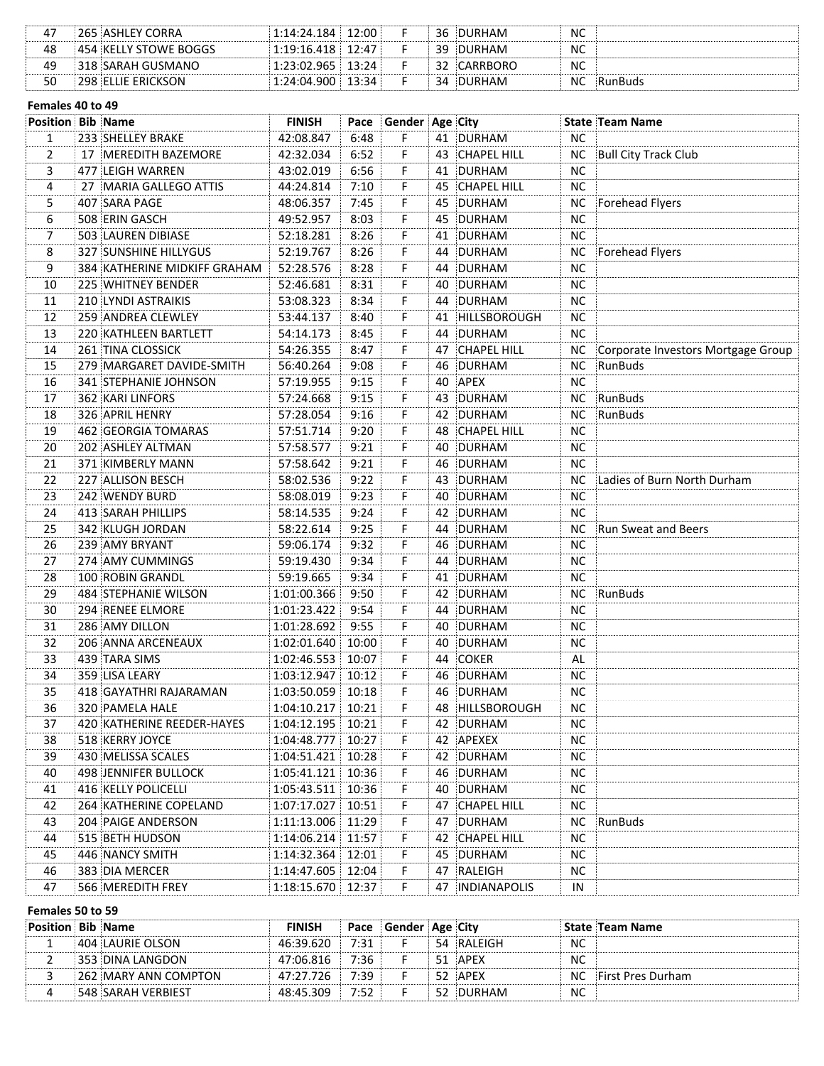|    | 265 ASHLEY CORRA      | 1:14:24.184 | 12:00 | 36 | DURHAM    | <b>NC</b> |  |
|----|-----------------------|-------------|-------|----|-----------|-----------|--|
| 48 | 454 KELLY STOWE BOGGS | 1:19:16.418 | 12:47 |    | 39 DURHAM | NC        |  |
| 49 | 318 SARAH GUSMANO     | 1:23:02.965 | 13.24 |    | CARRBORO  | NC        |  |
|    | 298 ELLIE ERICKSON    | 1:24:04.900 | 13∙34 | 34 | DURHAM    | N0        |  |

#### Females 40 to 49

| $\mathbf{1}$<br>233 SHELLEY BRAKE<br>42:08.847<br>6:48<br>F.<br>41 DURHAM<br><b>NC</b><br>$\overline{2}$<br>F.<br>17 MEREDITH BAZEMORE<br>42:32.034<br>6:52<br>43 CHAPEL HILL<br><b>NC</b><br><b>Bull City Track Club</b><br>3<br>6:56<br><b>NC</b><br>477 LEIGH WARREN<br>43:02.019<br>F.<br>41 DURHAM<br>7:10<br><b>NC</b><br>$\frac{4}{\cdot}$<br>27 MARIA GALLEGO ATTIS<br>44:24.814<br>F.<br>45 CHAPEL HILL<br>Forehead Flyers<br>5<br>407 SARA PAGE<br>48:06.357<br>7:45<br>45 DURHAM<br>NC.<br>F.<br>6<br>508 ERIN GASCH<br>49:52.957<br>8:03<br>45 DURHAM<br>NС<br>F.<br>7<br>503 LAUREN DIBIASE<br>52:18.281<br>8:26<br>F<br>41 DURHAM<br>NC.<br>Forehead Flyers<br>8<br><b>327 SUNSHINE HILLYGUS</b><br>52:19.767<br>8:26<br>F.<br>44 DURHAM<br>NC.<br>8:28<br>9<br>384 KATHERINE MIDKIFF GRAHAM<br>52:28.576<br>F.<br>44 DURHAM<br>NC.<br>8:31<br>F<br>DURHAM<br>NC.<br>10<br>225 WHITNEY BENDER<br>52:46.681<br>40<br>210 LYNDI ASTRAIKIS<br>8:34<br>F<br>44 DURHAM<br><b>NC</b><br>11<br>53:08.323<br>12<br>259 ANDREA CLEWLEY<br>8:40<br>F<br><b>NC</b><br>53:44.137<br>41 HILLSBOROUGH<br>13<br>8:45<br>F<br><b>NC</b><br>220 KATHLEEN BARTLETT<br>54:14.173<br>44 DURHAM<br>Corporate Investors Mortgage Group<br>14<br>8:47<br>F<br>47 CHAPEL HILL<br>NC.<br>261 TINA CLOSSICK<br>54:26.355<br>15<br>9:08<br>NC RunBuds<br>279 MARGARET DAVIDE-SMITH<br>56:40.264<br>F<br>46 DURHAM<br>16<br>9:15<br>40 APEX<br><b>NC</b><br>341 STEPHANIE JOHNSON<br>57:19.955<br>F.<br>17<br>9:15<br>F<br>43 DURHAM<br>NC RunBuds<br><b>362 KARI LINFORS</b><br>57:24.668<br>NC RunBuds<br>18<br>9:16<br>F<br>42 DURHAM<br>326 APRIL HENRY<br>57:28.054<br>9:20<br>19<br>57:51.714<br>F.<br>48 CHAPEL HILL<br><b>NC</b><br>462 GEORGIA TOMARAS<br>20<br>57:58.577<br>9:21<br>F<br>40 DURHAM<br><b>NC</b><br>202 ASHLEY ALTMAN<br>21<br>57:58.642<br>9:21<br>F.<br>46 DURHAM<br><b>NC</b><br>371 KIMBERLY MANN<br>F<br>NC Ladies of Burn North Durham<br>22<br>9:22<br>43 DURHAM<br>227 ALLISON BESCH<br>58:02.536<br>9:23<br>F<br><b>NC</b><br>23<br>58:08.019<br>40 DURHAM<br>242 WENDY BURD<br>9:24<br><b>NC</b><br>24<br>413 SARAH PHILLIPS<br>58:14.535<br>F<br>42 DURHAM<br>NC Run Sweat and Beers<br>9:25<br>F<br>58:22.614<br>44 DURHAM<br>25<br>342 KLUGH JORDAN<br>Ë<br>9:32<br><b>NC</b><br>26<br>59:06.174<br>46 DURHAM<br>239 AMY BRYANT<br>$\dddot{\mathsf{F}}$<br>9:34<br><b>NC</b><br>27<br>274 AMY CUMMINGS<br>59:19.430<br>44 DURHAM<br>$\dddot{\mathsf{F}}$<br>9:34<br>28<br>59:19.665<br>DURHAM<br><b>NC</b><br>100 ROBIN GRANDL<br>41<br>$\overline{\mathsf{F}}$<br>RunBuds<br>29<br>9:50<br>DURHAM<br><b>NC</b><br>484 STEPHANIE WILSON<br>1:01:00.366<br>42<br>Ë<br>30<br>294 RENEE ELMORE<br>9:54<br>44 DURHAM<br><b>NC</b><br>1:01:23.422<br>F<br>31<br>286 AMY DILLON<br>9:55<br>DURHAM<br><b>NC</b><br>1:01:28.692<br>40<br>32<br>F.<br>DURHAM<br><b>NC</b><br>206 ANNA ARCENEAUX<br>1:02:01.640<br>10:00<br>40<br>33<br>F<br>1:02:46.553<br>COKER<br>AL<br>439 TARA SIMS<br>10:07<br>44<br>F<br><b>NC</b><br>34<br>359 LISA LEARY<br>DURHAM<br>1:03:12.947<br>10:12<br>46<br>F<br>35<br><b>NC</b><br>418 GAYATHRI RAJARAMAN<br>1:03:50.059<br>46<br>DURHAM<br>10:18<br>F<br>36<br>NC.<br>320 PAMELA HALE<br>$1:04:10.217$ 10:21<br>48 HILLSBOROUGH<br>37<br>F<br>420 KATHERINE REEDER-HAYES<br>1:04:12.195 10:21<br>42 DURHAM<br>NC.<br>1:04:48.777<br>F<br>38<br>518 KERRY JOYCE<br>10:27<br>APEXEX<br>42<br>NC.<br>1:04:51.421 10:28<br>39<br>430 MELISSA SCALES<br>F<br>DURHAM<br>NC.<br>42<br>40<br>498 JENNIFER BULLOCK<br>1:05:41.121 10:36<br>F<br>DURHAM<br>NC.<br>46<br>416 KELLY POLICELLI<br>41<br>1:05:43.511 10:36<br>F<br>DURHAM<br>NC.<br>40<br>264 KATHERINE COPELAND<br>1:07:17.027<br>10:51<br>F<br><b>CHAPEL HILL</b><br><b>NC</b><br>42<br>47<br>204 PAIGE ANDERSON<br>1:11:13.006 11:29<br>F<br>DURHAM<br>RunBuds<br>43<br>47<br>NC.<br>1:14:06.214 11:57<br>F<br>42 CHAPEL HILL<br><b>NC</b><br>44<br>515 BETH HUDSON<br>1:14:32.364 12:01<br>F<br>45<br>446 NANCY SMITH<br>45 DURHAM<br>NC.<br>F<br>1:14:47.605<br>12:04<br>47 RALEIGH<br>46<br>383 DIA MERCER<br>NC.<br>F<br>47<br>566 MEREDITH FREY<br>1:18:15.670<br>12:37<br>47 INDIANAPOLIS<br>IN | <b>Position Bib Name</b> |  | <b>FINISH</b> | Pace Gender Age City |  | <b>State Team Name</b> |
|-------------------------------------------------------------------------------------------------------------------------------------------------------------------------------------------------------------------------------------------------------------------------------------------------------------------------------------------------------------------------------------------------------------------------------------------------------------------------------------------------------------------------------------------------------------------------------------------------------------------------------------------------------------------------------------------------------------------------------------------------------------------------------------------------------------------------------------------------------------------------------------------------------------------------------------------------------------------------------------------------------------------------------------------------------------------------------------------------------------------------------------------------------------------------------------------------------------------------------------------------------------------------------------------------------------------------------------------------------------------------------------------------------------------------------------------------------------------------------------------------------------------------------------------------------------------------------------------------------------------------------------------------------------------------------------------------------------------------------------------------------------------------------------------------------------------------------------------------------------------------------------------------------------------------------------------------------------------------------------------------------------------------------------------------------------------------------------------------------------------------------------------------------------------------------------------------------------------------------------------------------------------------------------------------------------------------------------------------------------------------------------------------------------------------------------------------------------------------------------------------------------------------------------------------------------------------------------------------------------------------------------------------------------------------------------------------------------------------------------------------------------------------------------------------------------------------------------------------------------------------------------------------------------------------------------------------------------------------------------------------------------------------------------------------------------------------------------------------------------------------------------------------------------------------------------------------------------------------------------------------------------------------------------------------------------------------------------------------------------------------------------------------------------------------------------------------------------------------------------------------------------------------------------------------------------------------------------------------------------------------------------------------------------------------------------------------------------------------------------------------------------------------------------------------------------------------------------------------------------------------------------------------------------------------------------------------------------------------------------------------------------------------------------------------------------------------------------------------------------------------------------------------------------------------------------------------------------|--------------------------|--|---------------|----------------------|--|------------------------|
|                                                                                                                                                                                                                                                                                                                                                                                                                                                                                                                                                                                                                                                                                                                                                                                                                                                                                                                                                                                                                                                                                                                                                                                                                                                                                                                                                                                                                                                                                                                                                                                                                                                                                                                                                                                                                                                                                                                                                                                                                                                                                                                                                                                                                                                                                                                                                                                                                                                                                                                                                                                                                                                                                                                                                                                                                                                                                                                                                                                                                                                                                                                                                                                                                                                                                                                                                                                                                                                                                                                                                                                                                                                                                                                                                                                                                                                                                                                                                                                                                                                                                                                                                                                                             |                          |  |               |                      |  |                        |
|                                                                                                                                                                                                                                                                                                                                                                                                                                                                                                                                                                                                                                                                                                                                                                                                                                                                                                                                                                                                                                                                                                                                                                                                                                                                                                                                                                                                                                                                                                                                                                                                                                                                                                                                                                                                                                                                                                                                                                                                                                                                                                                                                                                                                                                                                                                                                                                                                                                                                                                                                                                                                                                                                                                                                                                                                                                                                                                                                                                                                                                                                                                                                                                                                                                                                                                                                                                                                                                                                                                                                                                                                                                                                                                                                                                                                                                                                                                                                                                                                                                                                                                                                                                                             |                          |  |               |                      |  |                        |
|                                                                                                                                                                                                                                                                                                                                                                                                                                                                                                                                                                                                                                                                                                                                                                                                                                                                                                                                                                                                                                                                                                                                                                                                                                                                                                                                                                                                                                                                                                                                                                                                                                                                                                                                                                                                                                                                                                                                                                                                                                                                                                                                                                                                                                                                                                                                                                                                                                                                                                                                                                                                                                                                                                                                                                                                                                                                                                                                                                                                                                                                                                                                                                                                                                                                                                                                                                                                                                                                                                                                                                                                                                                                                                                                                                                                                                                                                                                                                                                                                                                                                                                                                                                                             |                          |  |               |                      |  |                        |
|                                                                                                                                                                                                                                                                                                                                                                                                                                                                                                                                                                                                                                                                                                                                                                                                                                                                                                                                                                                                                                                                                                                                                                                                                                                                                                                                                                                                                                                                                                                                                                                                                                                                                                                                                                                                                                                                                                                                                                                                                                                                                                                                                                                                                                                                                                                                                                                                                                                                                                                                                                                                                                                                                                                                                                                                                                                                                                                                                                                                                                                                                                                                                                                                                                                                                                                                                                                                                                                                                                                                                                                                                                                                                                                                                                                                                                                                                                                                                                                                                                                                                                                                                                                                             |                          |  |               |                      |  |                        |
|                                                                                                                                                                                                                                                                                                                                                                                                                                                                                                                                                                                                                                                                                                                                                                                                                                                                                                                                                                                                                                                                                                                                                                                                                                                                                                                                                                                                                                                                                                                                                                                                                                                                                                                                                                                                                                                                                                                                                                                                                                                                                                                                                                                                                                                                                                                                                                                                                                                                                                                                                                                                                                                                                                                                                                                                                                                                                                                                                                                                                                                                                                                                                                                                                                                                                                                                                                                                                                                                                                                                                                                                                                                                                                                                                                                                                                                                                                                                                                                                                                                                                                                                                                                                             |                          |  |               |                      |  |                        |
|                                                                                                                                                                                                                                                                                                                                                                                                                                                                                                                                                                                                                                                                                                                                                                                                                                                                                                                                                                                                                                                                                                                                                                                                                                                                                                                                                                                                                                                                                                                                                                                                                                                                                                                                                                                                                                                                                                                                                                                                                                                                                                                                                                                                                                                                                                                                                                                                                                                                                                                                                                                                                                                                                                                                                                                                                                                                                                                                                                                                                                                                                                                                                                                                                                                                                                                                                                                                                                                                                                                                                                                                                                                                                                                                                                                                                                                                                                                                                                                                                                                                                                                                                                                                             |                          |  |               |                      |  |                        |
|                                                                                                                                                                                                                                                                                                                                                                                                                                                                                                                                                                                                                                                                                                                                                                                                                                                                                                                                                                                                                                                                                                                                                                                                                                                                                                                                                                                                                                                                                                                                                                                                                                                                                                                                                                                                                                                                                                                                                                                                                                                                                                                                                                                                                                                                                                                                                                                                                                                                                                                                                                                                                                                                                                                                                                                                                                                                                                                                                                                                                                                                                                                                                                                                                                                                                                                                                                                                                                                                                                                                                                                                                                                                                                                                                                                                                                                                                                                                                                                                                                                                                                                                                                                                             |                          |  |               |                      |  |                        |
|                                                                                                                                                                                                                                                                                                                                                                                                                                                                                                                                                                                                                                                                                                                                                                                                                                                                                                                                                                                                                                                                                                                                                                                                                                                                                                                                                                                                                                                                                                                                                                                                                                                                                                                                                                                                                                                                                                                                                                                                                                                                                                                                                                                                                                                                                                                                                                                                                                                                                                                                                                                                                                                                                                                                                                                                                                                                                                                                                                                                                                                                                                                                                                                                                                                                                                                                                                                                                                                                                                                                                                                                                                                                                                                                                                                                                                                                                                                                                                                                                                                                                                                                                                                                             |                          |  |               |                      |  |                        |
|                                                                                                                                                                                                                                                                                                                                                                                                                                                                                                                                                                                                                                                                                                                                                                                                                                                                                                                                                                                                                                                                                                                                                                                                                                                                                                                                                                                                                                                                                                                                                                                                                                                                                                                                                                                                                                                                                                                                                                                                                                                                                                                                                                                                                                                                                                                                                                                                                                                                                                                                                                                                                                                                                                                                                                                                                                                                                                                                                                                                                                                                                                                                                                                                                                                                                                                                                                                                                                                                                                                                                                                                                                                                                                                                                                                                                                                                                                                                                                                                                                                                                                                                                                                                             |                          |  |               |                      |  |                        |
|                                                                                                                                                                                                                                                                                                                                                                                                                                                                                                                                                                                                                                                                                                                                                                                                                                                                                                                                                                                                                                                                                                                                                                                                                                                                                                                                                                                                                                                                                                                                                                                                                                                                                                                                                                                                                                                                                                                                                                                                                                                                                                                                                                                                                                                                                                                                                                                                                                                                                                                                                                                                                                                                                                                                                                                                                                                                                                                                                                                                                                                                                                                                                                                                                                                                                                                                                                                                                                                                                                                                                                                                                                                                                                                                                                                                                                                                                                                                                                                                                                                                                                                                                                                                             |                          |  |               |                      |  |                        |
|                                                                                                                                                                                                                                                                                                                                                                                                                                                                                                                                                                                                                                                                                                                                                                                                                                                                                                                                                                                                                                                                                                                                                                                                                                                                                                                                                                                                                                                                                                                                                                                                                                                                                                                                                                                                                                                                                                                                                                                                                                                                                                                                                                                                                                                                                                                                                                                                                                                                                                                                                                                                                                                                                                                                                                                                                                                                                                                                                                                                                                                                                                                                                                                                                                                                                                                                                                                                                                                                                                                                                                                                                                                                                                                                                                                                                                                                                                                                                                                                                                                                                                                                                                                                             |                          |  |               |                      |  |                        |
|                                                                                                                                                                                                                                                                                                                                                                                                                                                                                                                                                                                                                                                                                                                                                                                                                                                                                                                                                                                                                                                                                                                                                                                                                                                                                                                                                                                                                                                                                                                                                                                                                                                                                                                                                                                                                                                                                                                                                                                                                                                                                                                                                                                                                                                                                                                                                                                                                                                                                                                                                                                                                                                                                                                                                                                                                                                                                                                                                                                                                                                                                                                                                                                                                                                                                                                                                                                                                                                                                                                                                                                                                                                                                                                                                                                                                                                                                                                                                                                                                                                                                                                                                                                                             |                          |  |               |                      |  |                        |
|                                                                                                                                                                                                                                                                                                                                                                                                                                                                                                                                                                                                                                                                                                                                                                                                                                                                                                                                                                                                                                                                                                                                                                                                                                                                                                                                                                                                                                                                                                                                                                                                                                                                                                                                                                                                                                                                                                                                                                                                                                                                                                                                                                                                                                                                                                                                                                                                                                                                                                                                                                                                                                                                                                                                                                                                                                                                                                                                                                                                                                                                                                                                                                                                                                                                                                                                                                                                                                                                                                                                                                                                                                                                                                                                                                                                                                                                                                                                                                                                                                                                                                                                                                                                             |                          |  |               |                      |  |                        |
|                                                                                                                                                                                                                                                                                                                                                                                                                                                                                                                                                                                                                                                                                                                                                                                                                                                                                                                                                                                                                                                                                                                                                                                                                                                                                                                                                                                                                                                                                                                                                                                                                                                                                                                                                                                                                                                                                                                                                                                                                                                                                                                                                                                                                                                                                                                                                                                                                                                                                                                                                                                                                                                                                                                                                                                                                                                                                                                                                                                                                                                                                                                                                                                                                                                                                                                                                                                                                                                                                                                                                                                                                                                                                                                                                                                                                                                                                                                                                                                                                                                                                                                                                                                                             |                          |  |               |                      |  |                        |
|                                                                                                                                                                                                                                                                                                                                                                                                                                                                                                                                                                                                                                                                                                                                                                                                                                                                                                                                                                                                                                                                                                                                                                                                                                                                                                                                                                                                                                                                                                                                                                                                                                                                                                                                                                                                                                                                                                                                                                                                                                                                                                                                                                                                                                                                                                                                                                                                                                                                                                                                                                                                                                                                                                                                                                                                                                                                                                                                                                                                                                                                                                                                                                                                                                                                                                                                                                                                                                                                                                                                                                                                                                                                                                                                                                                                                                                                                                                                                                                                                                                                                                                                                                                                             |                          |  |               |                      |  |                        |
|                                                                                                                                                                                                                                                                                                                                                                                                                                                                                                                                                                                                                                                                                                                                                                                                                                                                                                                                                                                                                                                                                                                                                                                                                                                                                                                                                                                                                                                                                                                                                                                                                                                                                                                                                                                                                                                                                                                                                                                                                                                                                                                                                                                                                                                                                                                                                                                                                                                                                                                                                                                                                                                                                                                                                                                                                                                                                                                                                                                                                                                                                                                                                                                                                                                                                                                                                                                                                                                                                                                                                                                                                                                                                                                                                                                                                                                                                                                                                                                                                                                                                                                                                                                                             |                          |  |               |                      |  |                        |
|                                                                                                                                                                                                                                                                                                                                                                                                                                                                                                                                                                                                                                                                                                                                                                                                                                                                                                                                                                                                                                                                                                                                                                                                                                                                                                                                                                                                                                                                                                                                                                                                                                                                                                                                                                                                                                                                                                                                                                                                                                                                                                                                                                                                                                                                                                                                                                                                                                                                                                                                                                                                                                                                                                                                                                                                                                                                                                                                                                                                                                                                                                                                                                                                                                                                                                                                                                                                                                                                                                                                                                                                                                                                                                                                                                                                                                                                                                                                                                                                                                                                                                                                                                                                             |                          |  |               |                      |  |                        |
|                                                                                                                                                                                                                                                                                                                                                                                                                                                                                                                                                                                                                                                                                                                                                                                                                                                                                                                                                                                                                                                                                                                                                                                                                                                                                                                                                                                                                                                                                                                                                                                                                                                                                                                                                                                                                                                                                                                                                                                                                                                                                                                                                                                                                                                                                                                                                                                                                                                                                                                                                                                                                                                                                                                                                                                                                                                                                                                                                                                                                                                                                                                                                                                                                                                                                                                                                                                                                                                                                                                                                                                                                                                                                                                                                                                                                                                                                                                                                                                                                                                                                                                                                                                                             |                          |  |               |                      |  |                        |
|                                                                                                                                                                                                                                                                                                                                                                                                                                                                                                                                                                                                                                                                                                                                                                                                                                                                                                                                                                                                                                                                                                                                                                                                                                                                                                                                                                                                                                                                                                                                                                                                                                                                                                                                                                                                                                                                                                                                                                                                                                                                                                                                                                                                                                                                                                                                                                                                                                                                                                                                                                                                                                                                                                                                                                                                                                                                                                                                                                                                                                                                                                                                                                                                                                                                                                                                                                                                                                                                                                                                                                                                                                                                                                                                                                                                                                                                                                                                                                                                                                                                                                                                                                                                             |                          |  |               |                      |  |                        |
|                                                                                                                                                                                                                                                                                                                                                                                                                                                                                                                                                                                                                                                                                                                                                                                                                                                                                                                                                                                                                                                                                                                                                                                                                                                                                                                                                                                                                                                                                                                                                                                                                                                                                                                                                                                                                                                                                                                                                                                                                                                                                                                                                                                                                                                                                                                                                                                                                                                                                                                                                                                                                                                                                                                                                                                                                                                                                                                                                                                                                                                                                                                                                                                                                                                                                                                                                                                                                                                                                                                                                                                                                                                                                                                                                                                                                                                                                                                                                                                                                                                                                                                                                                                                             |                          |  |               |                      |  |                        |
|                                                                                                                                                                                                                                                                                                                                                                                                                                                                                                                                                                                                                                                                                                                                                                                                                                                                                                                                                                                                                                                                                                                                                                                                                                                                                                                                                                                                                                                                                                                                                                                                                                                                                                                                                                                                                                                                                                                                                                                                                                                                                                                                                                                                                                                                                                                                                                                                                                                                                                                                                                                                                                                                                                                                                                                                                                                                                                                                                                                                                                                                                                                                                                                                                                                                                                                                                                                                                                                                                                                                                                                                                                                                                                                                                                                                                                                                                                                                                                                                                                                                                                                                                                                                             |                          |  |               |                      |  |                        |
|                                                                                                                                                                                                                                                                                                                                                                                                                                                                                                                                                                                                                                                                                                                                                                                                                                                                                                                                                                                                                                                                                                                                                                                                                                                                                                                                                                                                                                                                                                                                                                                                                                                                                                                                                                                                                                                                                                                                                                                                                                                                                                                                                                                                                                                                                                                                                                                                                                                                                                                                                                                                                                                                                                                                                                                                                                                                                                                                                                                                                                                                                                                                                                                                                                                                                                                                                                                                                                                                                                                                                                                                                                                                                                                                                                                                                                                                                                                                                                                                                                                                                                                                                                                                             |                          |  |               |                      |  |                        |
|                                                                                                                                                                                                                                                                                                                                                                                                                                                                                                                                                                                                                                                                                                                                                                                                                                                                                                                                                                                                                                                                                                                                                                                                                                                                                                                                                                                                                                                                                                                                                                                                                                                                                                                                                                                                                                                                                                                                                                                                                                                                                                                                                                                                                                                                                                                                                                                                                                                                                                                                                                                                                                                                                                                                                                                                                                                                                                                                                                                                                                                                                                                                                                                                                                                                                                                                                                                                                                                                                                                                                                                                                                                                                                                                                                                                                                                                                                                                                                                                                                                                                                                                                                                                             |                          |  |               |                      |  |                        |
|                                                                                                                                                                                                                                                                                                                                                                                                                                                                                                                                                                                                                                                                                                                                                                                                                                                                                                                                                                                                                                                                                                                                                                                                                                                                                                                                                                                                                                                                                                                                                                                                                                                                                                                                                                                                                                                                                                                                                                                                                                                                                                                                                                                                                                                                                                                                                                                                                                                                                                                                                                                                                                                                                                                                                                                                                                                                                                                                                                                                                                                                                                                                                                                                                                                                                                                                                                                                                                                                                                                                                                                                                                                                                                                                                                                                                                                                                                                                                                                                                                                                                                                                                                                                             |                          |  |               |                      |  |                        |
|                                                                                                                                                                                                                                                                                                                                                                                                                                                                                                                                                                                                                                                                                                                                                                                                                                                                                                                                                                                                                                                                                                                                                                                                                                                                                                                                                                                                                                                                                                                                                                                                                                                                                                                                                                                                                                                                                                                                                                                                                                                                                                                                                                                                                                                                                                                                                                                                                                                                                                                                                                                                                                                                                                                                                                                                                                                                                                                                                                                                                                                                                                                                                                                                                                                                                                                                                                                                                                                                                                                                                                                                                                                                                                                                                                                                                                                                                                                                                                                                                                                                                                                                                                                                             |                          |  |               |                      |  |                        |
|                                                                                                                                                                                                                                                                                                                                                                                                                                                                                                                                                                                                                                                                                                                                                                                                                                                                                                                                                                                                                                                                                                                                                                                                                                                                                                                                                                                                                                                                                                                                                                                                                                                                                                                                                                                                                                                                                                                                                                                                                                                                                                                                                                                                                                                                                                                                                                                                                                                                                                                                                                                                                                                                                                                                                                                                                                                                                                                                                                                                                                                                                                                                                                                                                                                                                                                                                                                                                                                                                                                                                                                                                                                                                                                                                                                                                                                                                                                                                                                                                                                                                                                                                                                                             |                          |  |               |                      |  |                        |
|                                                                                                                                                                                                                                                                                                                                                                                                                                                                                                                                                                                                                                                                                                                                                                                                                                                                                                                                                                                                                                                                                                                                                                                                                                                                                                                                                                                                                                                                                                                                                                                                                                                                                                                                                                                                                                                                                                                                                                                                                                                                                                                                                                                                                                                                                                                                                                                                                                                                                                                                                                                                                                                                                                                                                                                                                                                                                                                                                                                                                                                                                                                                                                                                                                                                                                                                                                                                                                                                                                                                                                                                                                                                                                                                                                                                                                                                                                                                                                                                                                                                                                                                                                                                             |                          |  |               |                      |  |                        |
|                                                                                                                                                                                                                                                                                                                                                                                                                                                                                                                                                                                                                                                                                                                                                                                                                                                                                                                                                                                                                                                                                                                                                                                                                                                                                                                                                                                                                                                                                                                                                                                                                                                                                                                                                                                                                                                                                                                                                                                                                                                                                                                                                                                                                                                                                                                                                                                                                                                                                                                                                                                                                                                                                                                                                                                                                                                                                                                                                                                                                                                                                                                                                                                                                                                                                                                                                                                                                                                                                                                                                                                                                                                                                                                                                                                                                                                                                                                                                                                                                                                                                                                                                                                                             |                          |  |               |                      |  |                        |
|                                                                                                                                                                                                                                                                                                                                                                                                                                                                                                                                                                                                                                                                                                                                                                                                                                                                                                                                                                                                                                                                                                                                                                                                                                                                                                                                                                                                                                                                                                                                                                                                                                                                                                                                                                                                                                                                                                                                                                                                                                                                                                                                                                                                                                                                                                                                                                                                                                                                                                                                                                                                                                                                                                                                                                                                                                                                                                                                                                                                                                                                                                                                                                                                                                                                                                                                                                                                                                                                                                                                                                                                                                                                                                                                                                                                                                                                                                                                                                                                                                                                                                                                                                                                             |                          |  |               |                      |  |                        |
|                                                                                                                                                                                                                                                                                                                                                                                                                                                                                                                                                                                                                                                                                                                                                                                                                                                                                                                                                                                                                                                                                                                                                                                                                                                                                                                                                                                                                                                                                                                                                                                                                                                                                                                                                                                                                                                                                                                                                                                                                                                                                                                                                                                                                                                                                                                                                                                                                                                                                                                                                                                                                                                                                                                                                                                                                                                                                                                                                                                                                                                                                                                                                                                                                                                                                                                                                                                                                                                                                                                                                                                                                                                                                                                                                                                                                                                                                                                                                                                                                                                                                                                                                                                                             |                          |  |               |                      |  |                        |
|                                                                                                                                                                                                                                                                                                                                                                                                                                                                                                                                                                                                                                                                                                                                                                                                                                                                                                                                                                                                                                                                                                                                                                                                                                                                                                                                                                                                                                                                                                                                                                                                                                                                                                                                                                                                                                                                                                                                                                                                                                                                                                                                                                                                                                                                                                                                                                                                                                                                                                                                                                                                                                                                                                                                                                                                                                                                                                                                                                                                                                                                                                                                                                                                                                                                                                                                                                                                                                                                                                                                                                                                                                                                                                                                                                                                                                                                                                                                                                                                                                                                                                                                                                                                             |                          |  |               |                      |  |                        |
|                                                                                                                                                                                                                                                                                                                                                                                                                                                                                                                                                                                                                                                                                                                                                                                                                                                                                                                                                                                                                                                                                                                                                                                                                                                                                                                                                                                                                                                                                                                                                                                                                                                                                                                                                                                                                                                                                                                                                                                                                                                                                                                                                                                                                                                                                                                                                                                                                                                                                                                                                                                                                                                                                                                                                                                                                                                                                                                                                                                                                                                                                                                                                                                                                                                                                                                                                                                                                                                                                                                                                                                                                                                                                                                                                                                                                                                                                                                                                                                                                                                                                                                                                                                                             |                          |  |               |                      |  |                        |
|                                                                                                                                                                                                                                                                                                                                                                                                                                                                                                                                                                                                                                                                                                                                                                                                                                                                                                                                                                                                                                                                                                                                                                                                                                                                                                                                                                                                                                                                                                                                                                                                                                                                                                                                                                                                                                                                                                                                                                                                                                                                                                                                                                                                                                                                                                                                                                                                                                                                                                                                                                                                                                                                                                                                                                                                                                                                                                                                                                                                                                                                                                                                                                                                                                                                                                                                                                                                                                                                                                                                                                                                                                                                                                                                                                                                                                                                                                                                                                                                                                                                                                                                                                                                             |                          |  |               |                      |  |                        |
|                                                                                                                                                                                                                                                                                                                                                                                                                                                                                                                                                                                                                                                                                                                                                                                                                                                                                                                                                                                                                                                                                                                                                                                                                                                                                                                                                                                                                                                                                                                                                                                                                                                                                                                                                                                                                                                                                                                                                                                                                                                                                                                                                                                                                                                                                                                                                                                                                                                                                                                                                                                                                                                                                                                                                                                                                                                                                                                                                                                                                                                                                                                                                                                                                                                                                                                                                                                                                                                                                                                                                                                                                                                                                                                                                                                                                                                                                                                                                                                                                                                                                                                                                                                                             |                          |  |               |                      |  |                        |
|                                                                                                                                                                                                                                                                                                                                                                                                                                                                                                                                                                                                                                                                                                                                                                                                                                                                                                                                                                                                                                                                                                                                                                                                                                                                                                                                                                                                                                                                                                                                                                                                                                                                                                                                                                                                                                                                                                                                                                                                                                                                                                                                                                                                                                                                                                                                                                                                                                                                                                                                                                                                                                                                                                                                                                                                                                                                                                                                                                                                                                                                                                                                                                                                                                                                                                                                                                                                                                                                                                                                                                                                                                                                                                                                                                                                                                                                                                                                                                                                                                                                                                                                                                                                             |                          |  |               |                      |  |                        |
|                                                                                                                                                                                                                                                                                                                                                                                                                                                                                                                                                                                                                                                                                                                                                                                                                                                                                                                                                                                                                                                                                                                                                                                                                                                                                                                                                                                                                                                                                                                                                                                                                                                                                                                                                                                                                                                                                                                                                                                                                                                                                                                                                                                                                                                                                                                                                                                                                                                                                                                                                                                                                                                                                                                                                                                                                                                                                                                                                                                                                                                                                                                                                                                                                                                                                                                                                                                                                                                                                                                                                                                                                                                                                                                                                                                                                                                                                                                                                                                                                                                                                                                                                                                                             |                          |  |               |                      |  |                        |
|                                                                                                                                                                                                                                                                                                                                                                                                                                                                                                                                                                                                                                                                                                                                                                                                                                                                                                                                                                                                                                                                                                                                                                                                                                                                                                                                                                                                                                                                                                                                                                                                                                                                                                                                                                                                                                                                                                                                                                                                                                                                                                                                                                                                                                                                                                                                                                                                                                                                                                                                                                                                                                                                                                                                                                                                                                                                                                                                                                                                                                                                                                                                                                                                                                                                                                                                                                                                                                                                                                                                                                                                                                                                                                                                                                                                                                                                                                                                                                                                                                                                                                                                                                                                             |                          |  |               |                      |  |                        |
|                                                                                                                                                                                                                                                                                                                                                                                                                                                                                                                                                                                                                                                                                                                                                                                                                                                                                                                                                                                                                                                                                                                                                                                                                                                                                                                                                                                                                                                                                                                                                                                                                                                                                                                                                                                                                                                                                                                                                                                                                                                                                                                                                                                                                                                                                                                                                                                                                                                                                                                                                                                                                                                                                                                                                                                                                                                                                                                                                                                                                                                                                                                                                                                                                                                                                                                                                                                                                                                                                                                                                                                                                                                                                                                                                                                                                                                                                                                                                                                                                                                                                                                                                                                                             |                          |  |               |                      |  |                        |
|                                                                                                                                                                                                                                                                                                                                                                                                                                                                                                                                                                                                                                                                                                                                                                                                                                                                                                                                                                                                                                                                                                                                                                                                                                                                                                                                                                                                                                                                                                                                                                                                                                                                                                                                                                                                                                                                                                                                                                                                                                                                                                                                                                                                                                                                                                                                                                                                                                                                                                                                                                                                                                                                                                                                                                                                                                                                                                                                                                                                                                                                                                                                                                                                                                                                                                                                                                                                                                                                                                                                                                                                                                                                                                                                                                                                                                                                                                                                                                                                                                                                                                                                                                                                             |                          |  |               |                      |  |                        |
|                                                                                                                                                                                                                                                                                                                                                                                                                                                                                                                                                                                                                                                                                                                                                                                                                                                                                                                                                                                                                                                                                                                                                                                                                                                                                                                                                                                                                                                                                                                                                                                                                                                                                                                                                                                                                                                                                                                                                                                                                                                                                                                                                                                                                                                                                                                                                                                                                                                                                                                                                                                                                                                                                                                                                                                                                                                                                                                                                                                                                                                                                                                                                                                                                                                                                                                                                                                                                                                                                                                                                                                                                                                                                                                                                                                                                                                                                                                                                                                                                                                                                                                                                                                                             |                          |  |               |                      |  |                        |
|                                                                                                                                                                                                                                                                                                                                                                                                                                                                                                                                                                                                                                                                                                                                                                                                                                                                                                                                                                                                                                                                                                                                                                                                                                                                                                                                                                                                                                                                                                                                                                                                                                                                                                                                                                                                                                                                                                                                                                                                                                                                                                                                                                                                                                                                                                                                                                                                                                                                                                                                                                                                                                                                                                                                                                                                                                                                                                                                                                                                                                                                                                                                                                                                                                                                                                                                                                                                                                                                                                                                                                                                                                                                                                                                                                                                                                                                                                                                                                                                                                                                                                                                                                                                             |                          |  |               |                      |  |                        |
|                                                                                                                                                                                                                                                                                                                                                                                                                                                                                                                                                                                                                                                                                                                                                                                                                                                                                                                                                                                                                                                                                                                                                                                                                                                                                                                                                                                                                                                                                                                                                                                                                                                                                                                                                                                                                                                                                                                                                                                                                                                                                                                                                                                                                                                                                                                                                                                                                                                                                                                                                                                                                                                                                                                                                                                                                                                                                                                                                                                                                                                                                                                                                                                                                                                                                                                                                                                                                                                                                                                                                                                                                                                                                                                                                                                                                                                                                                                                                                                                                                                                                                                                                                                                             |                          |  |               |                      |  |                        |
|                                                                                                                                                                                                                                                                                                                                                                                                                                                                                                                                                                                                                                                                                                                                                                                                                                                                                                                                                                                                                                                                                                                                                                                                                                                                                                                                                                                                                                                                                                                                                                                                                                                                                                                                                                                                                                                                                                                                                                                                                                                                                                                                                                                                                                                                                                                                                                                                                                                                                                                                                                                                                                                                                                                                                                                                                                                                                                                                                                                                                                                                                                                                                                                                                                                                                                                                                                                                                                                                                                                                                                                                                                                                                                                                                                                                                                                                                                                                                                                                                                                                                                                                                                                                             |                          |  |               |                      |  |                        |
|                                                                                                                                                                                                                                                                                                                                                                                                                                                                                                                                                                                                                                                                                                                                                                                                                                                                                                                                                                                                                                                                                                                                                                                                                                                                                                                                                                                                                                                                                                                                                                                                                                                                                                                                                                                                                                                                                                                                                                                                                                                                                                                                                                                                                                                                                                                                                                                                                                                                                                                                                                                                                                                                                                                                                                                                                                                                                                                                                                                                                                                                                                                                                                                                                                                                                                                                                                                                                                                                                                                                                                                                                                                                                                                                                                                                                                                                                                                                                                                                                                                                                                                                                                                                             |                          |  |               |                      |  |                        |
|                                                                                                                                                                                                                                                                                                                                                                                                                                                                                                                                                                                                                                                                                                                                                                                                                                                                                                                                                                                                                                                                                                                                                                                                                                                                                                                                                                                                                                                                                                                                                                                                                                                                                                                                                                                                                                                                                                                                                                                                                                                                                                                                                                                                                                                                                                                                                                                                                                                                                                                                                                                                                                                                                                                                                                                                                                                                                                                                                                                                                                                                                                                                                                                                                                                                                                                                                                                                                                                                                                                                                                                                                                                                                                                                                                                                                                                                                                                                                                                                                                                                                                                                                                                                             |                          |  |               |                      |  |                        |
|                                                                                                                                                                                                                                                                                                                                                                                                                                                                                                                                                                                                                                                                                                                                                                                                                                                                                                                                                                                                                                                                                                                                                                                                                                                                                                                                                                                                                                                                                                                                                                                                                                                                                                                                                                                                                                                                                                                                                                                                                                                                                                                                                                                                                                                                                                                                                                                                                                                                                                                                                                                                                                                                                                                                                                                                                                                                                                                                                                                                                                                                                                                                                                                                                                                                                                                                                                                                                                                                                                                                                                                                                                                                                                                                                                                                                                                                                                                                                                                                                                                                                                                                                                                                             |                          |  |               |                      |  |                        |
|                                                                                                                                                                                                                                                                                                                                                                                                                                                                                                                                                                                                                                                                                                                                                                                                                                                                                                                                                                                                                                                                                                                                                                                                                                                                                                                                                                                                                                                                                                                                                                                                                                                                                                                                                                                                                                                                                                                                                                                                                                                                                                                                                                                                                                                                                                                                                                                                                                                                                                                                                                                                                                                                                                                                                                                                                                                                                                                                                                                                                                                                                                                                                                                                                                                                                                                                                                                                                                                                                                                                                                                                                                                                                                                                                                                                                                                                                                                                                                                                                                                                                                                                                                                                             |                          |  |               |                      |  |                        |

# Females 50 to 59

| <b>Position Bib Name</b> | FINISH    |         | Pace Gender Age City |     |         |    | State Team Name          |
|--------------------------|-----------|---------|----------------------|-----|---------|----|--------------------------|
| 404 LAURIE OLSON         | 46.39.620 | 7:31    |                      | 54. | RALEIGH | NC |                          |
| 353 DINA LANGDON         |           |         |                      |     | APEX    | NC |                          |
| 262 MARY ANN COMPTON     |           | 7:39    |                      |     | APEX    | NC | <b>First Pres Durham</b> |
| 548 SARAH VERBIEST       | 48.45.309 | 7 . L . |                      |     | DURHAM  | NC |                          |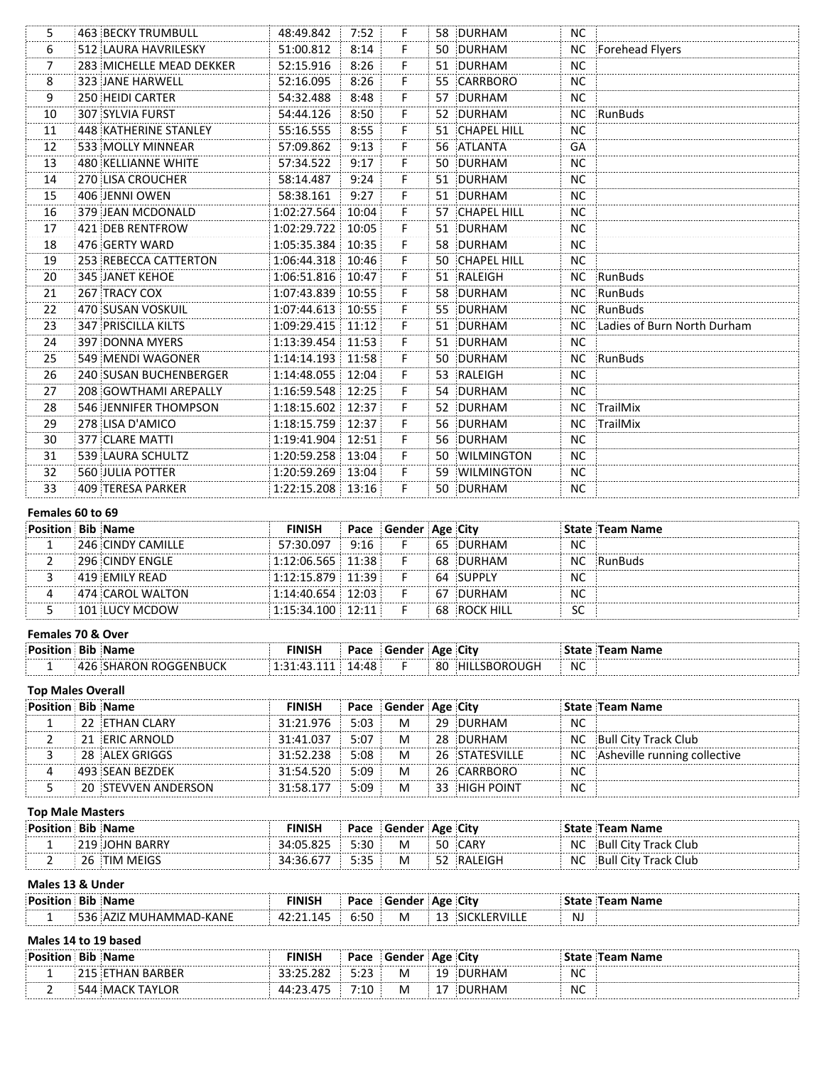| 5.             | 463 BECKY TRUMBULL       | 48:49.842   | 7:52  | F. |    | 58 DURHAM      | NC.       |                             |
|----------------|--------------------------|-------------|-------|----|----|----------------|-----------|-----------------------------|
| 6              | 512 LAURA HAVRILESKY     | 51:00.812   | 8:14  | F. | 50 | DURHAM         | <b>NC</b> | Forehead Flyers             |
| $\overline{7}$ | 283 MICHELLE MEAD DEKKER | 52:15.916   | 8:26  | F. | 51 | DURHAM         | <b>NC</b> |                             |
| 8              | 323 JANE HARWELL         | 52:16.095   | 8:26  | F. |    | 55 CARRBORO    | <b>NC</b> |                             |
| 9              | 250 HEIDI CARTER         | 54:32.488   | 8:48  | F. |    | 57 DURHAM      | <b>NC</b> |                             |
| 10             | 307 SYLVIA FURST         | 54:44.126   | 8:50  | F. |    | 52 DURHAM      | NC.       | RunBuds                     |
| 11             | 448 KATHERINE STANLEY    | 55:16.555   | 8:55  | F. |    | 51 CHAPEL HILL | <b>NC</b> |                             |
| 12             | 533 MOLLY MINNEAR        | 57:09.862   | 9:13  | F. |    | 56 ATLANTA     | GA        |                             |
| 13             | 480 KELLIANNE WHITE      | 57:34.522   | 9:17  | F. |    | 50 DURHAM      | <b>NC</b> |                             |
| 14             | 270 LISA CROUCHER        | 58:14.487   | 9:24  | F. |    | 51 DURHAM      | <b>NC</b> |                             |
| 15             | 406 JENNI OWEN           | 58:38.161   | 9:27  | F. |    | 51 DURHAM      | <b>NC</b> |                             |
| 16             | 379 JEAN MCDONALD        | 1:02:27.564 | 10:04 | F. |    | 57 CHAPEL HILL | <b>NC</b> |                             |
| 17             | 421 DEB RENTFROW         | 1:02:29.722 | 10:05 | F. | 51 | DURHAM         | <b>NC</b> |                             |
| 18             | 476 GERTY WARD           | 1:05:35.384 | 10:35 | F. |    | 58 DURHAM      | <b>NC</b> |                             |
| 19             | 253 REBECCA CATTERTON    | 1:06:44.318 | 10:46 | F. |    | 50 CHAPEL HILL | <b>NC</b> |                             |
| 20             | <b>345 JANET KEHOE</b>   | 1:06:51.816 | 10:47 | F  |    | 51 RALEIGH     | NC.       | RunBuds                     |
| 21             | 267 TRACY COX            | 1:07:43.839 | 10:55 | F. |    | 58 DURHAM      | NC.       | RunBuds                     |
| 22             | 470 SUSAN VOSKUIL        | 1:07:44.613 | 10:55 | F. |    | 55 DURHAM      | NC.       | RunBuds                     |
| 23             | 347 PRISCILLA KILTS      | 1:09:29.415 | 11:12 | F. |    | 51 DURHAM      | NC.       | Ladies of Burn North Durham |
| 24             | 397 DONNA MYERS          | 1:13:39.454 | 11:53 | F. |    | 51 DURHAM      | NC.       |                             |
| 25             | 549 MENDI WAGONER        | 1:14:14.193 | 11:58 | F. |    | 50 DURHAM      | NC        | RunBuds                     |
| 26             | 240 SUSAN BUCHENBERGER   | 1:14:48.055 | 12:04 | F. |    | 53 RALEIGH     | <b>NC</b> |                             |
| 27             | 208 GOWTHAMI AREPALLY    | 1:16:59.548 | 12:25 | F. |    | 54 DURHAM      | <b>NC</b> |                             |
| 28             | 546 JENNIFER THOMPSON    | 1:18:15.602 | 12:37 | F. |    | 52 DURHAM      | NC.       | TrailMix                    |
| 29             | 278 LISA D'AMICO         | 1:18:15.759 | 12:37 | F. |    | 56 DURHAM      | NC        | TrailMix                    |
| 30             | 377 CLARE MATTI          | 1:19:41.904 | 12:51 | F. |    | 56 DURHAM      | <b>NC</b> |                             |
| 31             | 539 LAURA SCHULTZ        | 1:20:59.258 | 13:04 | F. |    | 50 WILMINGTON  | <b>NC</b> |                             |
| 32             | 560 JULIA POTTER         | 1:20:59.269 | 13:04 | F. |    | 59 WILMINGTON  | NC.       |                             |
| 33             | 409 TERESA PARKER        | 1:22:15.208 | 13:16 | F. |    | 50 DURHAM      | <b>NC</b> |                             |
|                |                          |             |       |    |    |                |           |                             |

### Females 60 to 69

| Position Bib Name |                   | FINISH      |       | Pace Gender Age City |    |              |          | State Team Name |
|-------------------|-------------------|-------------|-------|----------------------|----|--------------|----------|-----------------|
|                   | 246 CINDY CAMILLE | 57:30.097   | 9:16  |                      |    | DURHAM       | NC       |                 |
|                   | 296 CINDY ENGLE   | 1:12:06.565 | 11.38 |                      | 68 | DURHAM       | NC       | ::RunBuds       |
|                   | $419$ EMILY READ  | 1:12:15.879 | 11.39 |                      |    | 64 SUPPLY    | NC       |                 |
|                   | :474 CAROL WALTON | 1:14:40.654 | 12:03 |                      | 67 | DURHAM       | NC       |                 |
|                   | 101 LUCY MCDOW    | 1:15:34.100 | 12.11 |                      |    | 68 ROCK HILL | ``<br>5C |                 |

### **Females 70 & Over**

| .<br>:Posi | יים | п. | u | <u>n oc</u> | ∃itv |           |  |
|------------|-----|----|---|-------------|------|-----------|--|
|            |     |    |   | -80         |      | <b>NC</b> |  |

### **Top Males Overall**

| <b>Position Bib Name</b> |                     | FINISH    |      | Pace Gender Age City |     |                |           | State ∣Team Name                |
|--------------------------|---------------------|-----------|------|----------------------|-----|----------------|-----------|---------------------------------|
|                          | 22 ETHAN CLARY      | 31:21.976 | 5:03 | M                    | 29. | DURHAM         | NC        |                                 |
|                          | 21 ERIC ARNOLD      | 31:41.037 | 5:07 | M                    |     | 28 DURHAM      |           | NC Bull City Track Club         |
|                          | 28 ALEX GRIGGS      | 31.52238  | 5:08 | M                    |     | 26 STATESVILLE |           | NC Asheville running collective |
|                          | : 493 :SEAN BEZDEK  | 31:54.520 | 5:09 | M                    |     | 26 CARRBORO    | NC        |                                 |
|                          | 20 STEVVEN ANDERSON | 31.58177  | 5.09 | M                    |     | 33 HIGH POINT  | <b>NC</b> |                                 |

### **Top Male Masters**

| <b>Position Bib Name</b> | FINISH    |      | Pace Gender Age City |     |          |     | State ∣Team Name     |
|--------------------------|-----------|------|----------------------|-----|----------|-----|----------------------|
| 219 JOHN BARRY           | 34:05.825 | 5:30 | M                    |     | .50 CARY | NC. | Bull City Track Club |
| 26 TIM MEIGS             | 34:36.677 | 5:35 | M                    | 52. | RALEIGH  | ΝC  | Bull City Track Club |

### **Males 13 & Under**

|         | $11191C3$ $13$ $13$ $119C1$ |        |             |      |  |  |           |  |  |  |  |  |  |
|---------|-----------------------------|--------|-------------|------|--|--|-----------|--|--|--|--|--|--|
| : Docit |                             | лкист. | Pace        |      |  |  |           |  |  |  |  |  |  |
|         | 'NN r                       |        | $\cdot$ Fr. | IVI. |  |  | <b>NJ</b> |  |  |  |  |  |  |

# **Males 14 to 19 based**

| : Docil |    |                      | Pace              | <b>Gender</b> | ۰ Δσρ | <b>City</b> |    |  |
|---------|----|----------------------|-------------------|---------------|-------|-------------|----|--|
|         |    | $\cdots$<br>$\cdots$ | $\sim$<br>- - - - | M             |       |             | NC |  |
|         | ΟR | $-$                  |                   | M             |       |             | NC |  |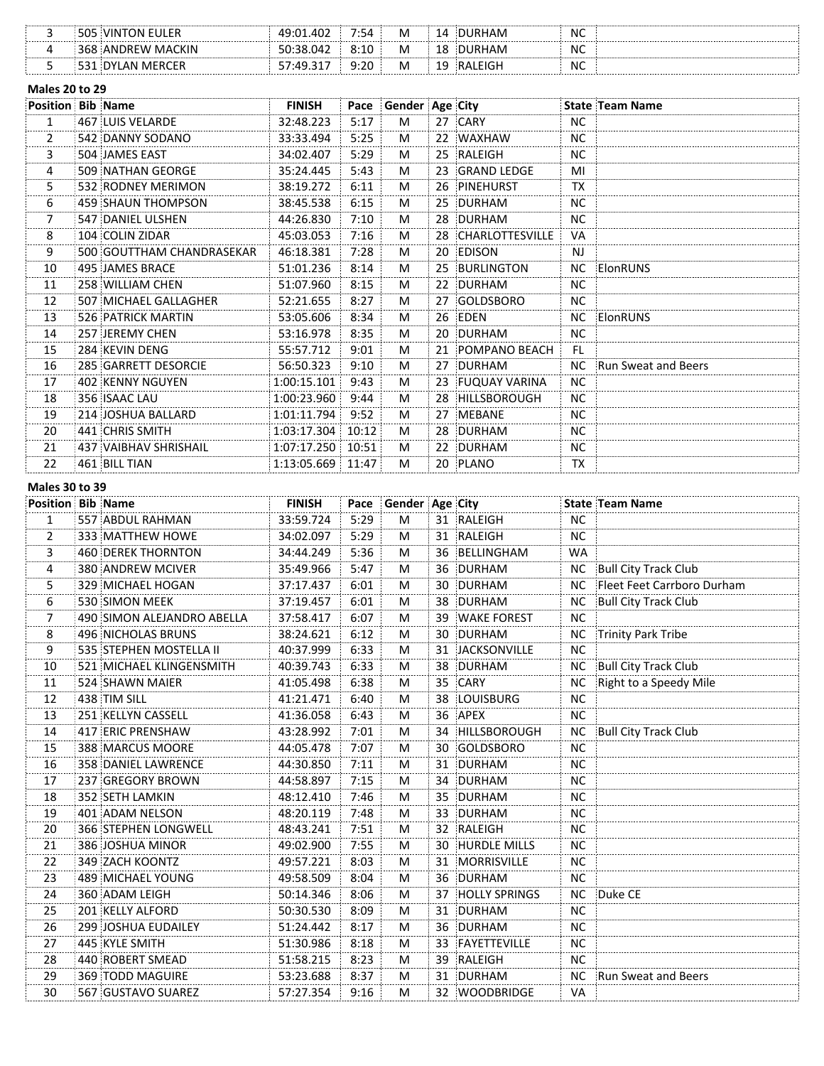| <b>EULER</b><br>:VIN<br>505<br>ΩN | .402<br>10∙N1 | 7:54 | M | 14       | <b>DUR</b><br>RHAM | <b>NC</b> |  |
|-----------------------------------|---------------|------|---|----------|--------------------|-----------|--|
| <b>MACKIN</b><br>⊀6X<br>:ANDREW   | 04<br>-501    | 8:10 | M | 18       | DURHAM             | <b>NC</b> |  |
| <b>MER</b><br><b>AN</b><br>нн     | 247<br>57.44  | 9:20 | M | 10<br>-- | ' EIGH<br>⊹RA!     | <b>NC</b> |  |

### **Males 20 to 29**

| <b>Position Bib Name</b> |                           | <b>FINISH</b> | Pace  | Gender Age City |                    |           | State Team Name        |
|--------------------------|---------------------------|---------------|-------|-----------------|--------------------|-----------|------------------------|
| 1                        | 467 LUIS VELARDE          | 32:48.223     | 5:17  | M               | 27 CARY            | <b>NC</b> |                        |
| $\overline{2}$           | 542 DANNY SODANO          | 33:33.494     | 5:25  | M               | 22 WAXHAW          | <b>NC</b> |                        |
| 3                        | 504 JAMES EAST            | 34:02.407     | 5:29  | M               | 25 RALEIGH         | <b>NC</b> |                        |
| 4                        | 509 NATHAN GEORGE         | 35:24.445     | 5:43  | M               | 23 GRAND LEDGE     | MI        |                        |
| 5                        | 532 RODNEY MERIMON        | 38:19.272     | 6:11  | M               | 26 PINEHURST       | <b>TX</b> |                        |
| 6                        | 459 SHAUN THOMPSON        | 38:45.538     | 6:15  | M               | 25 DURHAM          | NC        |                        |
| 7                        | 547 DANIEL ULSHEN         | 44:26.830     | 7:10  | M               | 28 DURHAM          | NC.       |                        |
| 8                        | 104 COLIN ZIDAR           | 45:03.053     | 7:16  | M               | 28 CHARLOTTESVILLE | VA        |                        |
| 9                        | 500 GOUTTHAM CHANDRASEKAR | 46:18.381     | 7:28  | M               | 20 EDISON          | NJ.       |                        |
| 10                       | 495 JAMES BRACE           | 51:01.236     | 8:14  | M               | 25 BURLINGTON      | NC        | ElonRUNS               |
| 11                       | 258 WILLIAM CHEN          | 51:07.960     | 8:15  | M               | 22 DURHAM          | <b>NC</b> |                        |
| 12                       | 507 MICHAEL GALLAGHER     | 52:21.655     | 8:27  | M               | 27 GOLDSBORO       | <b>NC</b> |                        |
| 13                       | 526 PATRICK MARTIN        | 53:05.606     | 8:34  | M               | 26 EDEN            | NC.       | ElonRUNS               |
| 14                       | 257 JEREMY CHEN           | 53:16.978     | 8:35  | M               | 20 DURHAM          | <b>NC</b> |                        |
| 15                       | 284 KEVIN DENG            | 55:57.712     | 9:01  | M               | 21 POMPANO BEACH   | FL.       |                        |
| 16                       | 285 GARRETT DESORCIE      | 56:50.323     | 9:10  | M               | 27 DURHAM          |           | NC Run Sweat and Beers |
| 17                       | 402 KENNY NGUYEN          | 1:00:15.101   | 9:43  | M               | 23 FUQUAY VARINA   | <b>NC</b> |                        |
| 18                       | 356 ISAAC LAU             | 1:00:23.960   | 9:44  | M               | 28 HILLSBOROUGH    | <b>NC</b> |                        |
| 19                       | 214 JOSHUA BALLARD        | 1:01:11.794   | 9:52  | M               | 27 MEBANE          | <b>NC</b> |                        |
| 20                       | 441 CHRIS SMITH           | 1:03:17.304   | 10:12 | M               | 28 DURHAM          | <b>NC</b> |                        |
| 21                       | 437 VAIBHAV SHRISHAIL     | 1:07:17.250   | 10:51 | M               | 22 DURHAM          | NC.       |                        |
| 22                       | 461 BILL TIAN             | 1:13:05.669   | 11:47 | M               | 20 PLANO           | TX        |                        |

### **Males 30 to 39**

| <b>Position Bib Name</b> |                            | <b>FINISH</b> |      | Pace Gender Age City |    |                      |           | State Team Name             |
|--------------------------|----------------------------|---------------|------|----------------------|----|----------------------|-----------|-----------------------------|
| $\mathbf{1}$             | 557 ABDUL RAHMAN           | 33:59.724     | 5:29 | M                    |    | 31 RALEIGH           | <b>NC</b> |                             |
| $\overline{2}$           | 333 MATTHEW HOWE           | 34:02.097     | 5:29 | M                    |    | 31 RALEIGH           | <b>NC</b> |                             |
| 3                        | 460 DEREK THORNTON         | 34:44.249     | 5:36 | M                    | 36 | BELLINGHAM           | <b>WA</b> |                             |
| 4                        | 380 ANDREW MCIVER          | 35:49.966     | 5:47 | М                    |    | 36 DURHAM            | NC.       | <b>Bull City Track Club</b> |
| 5                        | 329 MICHAEL HOGAN          | 37:17.437     | 6:01 | M                    |    | 30 DURHAM            | NC.       | Fleet Feet Carrboro Durham  |
| 6                        | 530 SIMON MEEK             | 37:19.457     | 6:01 | M                    |    | 38 DURHAM            | <b>NC</b> | <b>Bull City Track Club</b> |
| 7                        | 490 SIMON ALEJANDRO ABELLA | 37:58.417     | 6:07 | м                    |    | 39 WAKE FOREST       | NC.       |                             |
| 8                        | 496 NICHOLAS BRUNS         | 38:24.621     | 6:12 | M                    |    | 30 DURHAM            |           | NC Trinity Park Tribe       |
| 9                        | 535 STEPHEN MOSTELLA II    | 40:37.999     | 6:33 | M                    |    | 31 JACKSONVILLE      | <b>NC</b> |                             |
| 10                       | 521 MICHAEL KLINGENSMITH   | 40:39.743     | 6:33 | M                    |    | 38 DURHAM            | <b>NC</b> | <b>Bull City Track Club</b> |
| 11                       | 524 SHAWN MAIER            | 41:05.498     | 6:38 | M                    |    | 35 CARY              | <b>NC</b> | Right to a Speedy Mile      |
| 12                       | 438 TIM SILL               | 41:21.471     | 6:40 | M                    |    | 38 LOUISBURG         | NC.       |                             |
| 13                       | 251 KELLYN CASSELL         | 41:36.058     | 6:43 | M                    |    | 36 APEX              | <b>NC</b> |                             |
| 14                       | 417 ERIC PRENSHAW          | 43:28.992     | 7:01 | M                    |    | 34 HILLSBOROUGH      | <b>NC</b> | <b>Bull City Track Club</b> |
| 15                       | 388 MARCUS MOORE           | 44:05.478     | 7:07 | M                    |    | 30 GOLDSBORO         | <b>NC</b> |                             |
| 16                       | 358 DANIEL LAWRENCE        | 44:30.850     | 7:11 | M                    |    | 31 DURHAM            | <b>NC</b> |                             |
| 17                       | 237 GREGORY BROWN          | 44:58.897     | 7:15 | M                    |    | 34 DURHAM            | NC.       |                             |
| 18                       | 352 SETH LAMKIN            | 48:12.410     | 7:46 | M                    |    | 35 DURHAM            | <b>NC</b> |                             |
| 19                       | 401 ADAM NELSON            | 48:20.119     | 7:48 | M                    |    | 33 DURHAM            | <b>NC</b> |                             |
| 20                       | 366 STEPHEN LONGWELL       | 48:43.241     | 7:51 | M                    |    | 32 RALEIGH           | <b>NC</b> |                             |
| 21                       | 386 JOSHUA MINOR           | 49:02.900     | 7:55 | M                    |    | 30 HURDLE MILLS      | <b>NC</b> |                             |
| 22                       | 349 ZACH KOONTZ            | 49:57.221     | 8:03 | M                    |    | 31 MORRISVILLE       | NC.       |                             |
| 23                       | 489 MICHAEL YOUNG          | 49:58.509     | 8:04 | M                    |    | 36 DURHAM            | <b>NC</b> |                             |
| 24                       | 360 ADAM LEIGH             | 50:14.346     | 8:06 | M                    | 37 | <b>HOLLY SPRINGS</b> | <b>NC</b> | Duke CE                     |
| 25                       | 201 KELLY ALFORD           | 50:30.530     | 8:09 | M                    | 31 | DURHAM               | <b>NC</b> |                             |
| 26                       | <b>299 JOSHUA EUDAILEY</b> | 51:24.442     | 8:17 | M                    |    | 36 DURHAM            | <b>NC</b> |                             |
| 27                       | 445 KYLE SMITH             | 51:30.986     | 8:18 | M                    |    | 33 FAYETTEVILLE      | <b>NC</b> |                             |
| 28                       | 440 ROBERT SMEAD           | 51:58.215     | 8:23 | M                    |    | 39 RALEIGH           | <b>NC</b> |                             |
| 29                       | 369 TODD MAGUIRE           | 53:23.688     | 8:37 | M                    |    | 31 DURHAM            |           | NC Run Sweat and Beers      |
| 30                       | 567 GUSTAVO SUAREZ         | 57:27.354     | 9:16 | M                    |    | 32 WOODBRIDGE        | VA        |                             |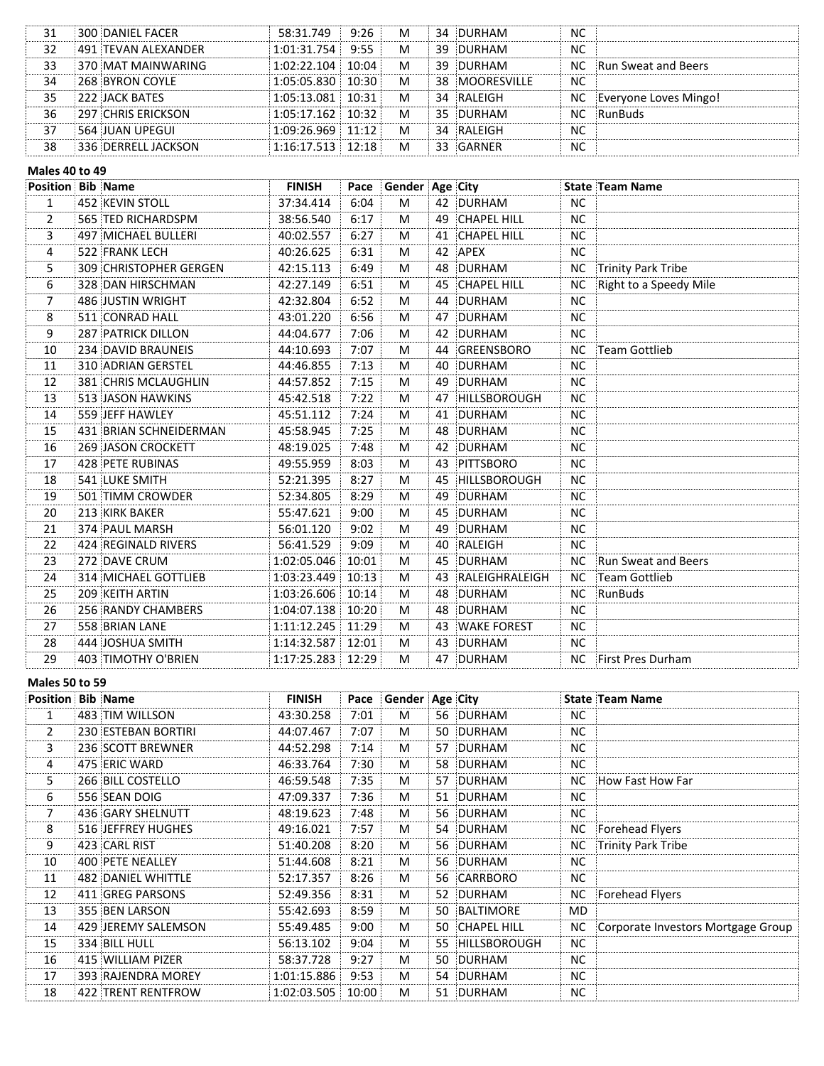|    | 300 DANIEL FACER           | 58:31.749   | 9:26          | M |     | 34 DURHAM      | <b>NC</b> |                       |
|----|----------------------------|-------------|---------------|---|-----|----------------|-----------|-----------------------|
|    | <b>491 TEVAN ALEXANDER</b> | 1:01:31.754 | 9:55          | M | -39 | DURHAM         | <b>NC</b> |                       |
| 33 | 370 MAT MAINWARING         | 1:02:22.104 | 10∙04 ∶       | M | 39. | DURHAM         | NC        | Run Sweat and Beers   |
| 34 | 268 BYRON COYLE            | 1:05:05.830 | 10:30         | M |     | 38 MOORESVILLE | <b>NC</b> |                       |
| 35 | $1222$ JACK BATES          | 1:05:13.081 | 10:31         | M |     | 34 RALEIGH     | NC        | Evervone Loves Mingo! |
| 36 | 297 CHRIS ERICKSON         | 1:05:17.162 | 10:32         | M |     | 35 DURHAM      | NС        | ::RunBuds             |
|    | : 564 JUAN UPEGUI          | 1:09:26.969 | $11 \cdot 12$ | M |     | 34 RALEIGH     | <b>NC</b> |                       |
| 38 | 336 DERRELL JACKSON        | 1:16:17.513 | 12.18         | M |     | 33 GARNER      | <b>NC</b> |                       |

#### **Males 40 to 49**

| <b>Position Bib Name</b> |                           | <b>FINISH</b> |       | Pace Gender Age City |    |                    |           | State Team Name        |
|--------------------------|---------------------------|---------------|-------|----------------------|----|--------------------|-----------|------------------------|
| $\mathbf{1}$             | 452 KEVIN STOLL           | 37:34.414     | 6:04  | M                    |    | 42 DURHAM          | <b>NC</b> |                        |
| 2                        | 565 TED RICHARDSPM        | 38:56.540     | 6:17  | M                    |    | 49 CHAPEL HILL     | <b>NC</b> |                        |
| 3                        | 497 MICHAEL BULLERI       | 40:02.557     | 6:27  | M                    |    | 41 CHAPEL HILL     | <b>NC</b> |                        |
| 4                        | 522 FRANK LECH            | 40:26.625     | 6:31  | M                    |    | 42 APEX            | <b>NC</b> |                        |
| 5.                       | 309 CHRISTOPHER GERGEN    | 42:15.113     | 6:49  | M                    |    | 48 DURHAM          | NC.       | Trinity Park Tribe     |
| 6                        | 328 DAN HIRSCHMAN         | 42:27.149     | 6:51  | M                    | 45 | <b>CHAPEL HILL</b> | <b>NC</b> | Right to a Speedy Mile |
| $\overline{7}$           | 486 JUSTIN WRIGHT         | 42:32.804     | 6:52  | M                    |    | 44 DURHAM          | <b>NC</b> |                        |
| 8                        | 511 CONRAD HALL           | 43:01.220     | 6:56  | M                    |    | 47 DURHAM          | <b>NC</b> |                        |
| 9                        | <b>287 PATRICK DILLON</b> | 44:04.677     | 7:06  | M                    |    | 42 DURHAM          | <b>NC</b> |                        |
| 10                       | 234 DAVID BRAUNEIS        | 44:10.693     | 7:07  | M                    |    | 44 GREENSBORO      | NC        | Team Gottlieb          |
| 11                       | <b>310 ADRIAN GERSTEL</b> | 44:46.855     | 7:13  | M                    |    | 40 DURHAM          | <b>NC</b> |                        |
| 12                       | 381 CHRIS MCLAUGHLIN      | 44:57.852     | 7:15  | M                    |    | 49 DURHAM          | <b>NC</b> |                        |
| 13                       | 513 JASON HAWKINS         | 45:42.518     | 7:22  | M                    |    | 47 HILLSBOROUGH    | NC.       |                        |
| 14                       | 559 JEFF HAWLEY           | 45:51.112     | 7:24  | M                    |    | 41 DURHAM          | <b>NC</b> |                        |
| 15                       | 431 BRIAN SCHNEIDERMAN    | 45:58.945     | 7:25  | M                    |    | 48 DURHAM          | <b>NC</b> |                        |
| 16                       | 269 JASON CROCKETT        | 48:19.025     | 7:48  | M                    |    | 42 DURHAM          | <b>NC</b> |                        |
| 17                       | 428 PETE RUBINAS          | 49:55.959     | 8:03  | M                    |    | 43 PITTSBORO       | <b>NC</b> |                        |
| 18                       | 541 LUKE SMITH            | 52:21.395     | 8:27  | M                    |    | 45 HILLSBOROUGH    | <b>NC</b> |                        |
| 19                       | 501 TIMM CROWDER          | 52:34.805     | 8:29  | M                    |    | 49 DURHAM          | <b>NC</b> |                        |
| 20                       | 213 KIRK BAKER            | 55:47.621     | 9:00  | M                    |    | 45 DURHAM          | <b>NC</b> |                        |
| 21                       | 374 PAUL MARSH            | 56:01.120     | 9:02  | M                    |    | 49 DURHAM          | NC.       |                        |
| 22                       | 424 REGINALD RIVERS       | 56:41.529     | 9:09  | M                    |    | 40 RALEIGH         | <b>NC</b> |                        |
| 23                       | 272 DAVE CRUM             | 1:02:05.046   | 10:01 | M                    |    | 45 DURHAM          |           | NC Run Sweat and Beers |
| 24                       | 314 MICHAEL GOTTLIEB      | 1:03:23.449   | 10:13 | M                    |    | 43 RALEIGHRALEIGH  | <b>NC</b> | Team Gottlieb          |
| 25                       | 209 KEITH ARTIN           | 1:03:26.606   | 10:14 | M                    |    | 48 DURHAM          | NC.       | RunBuds                |
| 26                       | 256 RANDY CHAMBERS        | 1:04:07.138   | 10:20 | M                    |    | 48 DURHAM          | <b>NC</b> |                        |
| 27                       | 558 BRIAN LANE            | 1:11:12.245   | 11:29 | M                    |    | 43 WAKE FOREST     | NC.       |                        |
| 28                       | 444 JOSHUA SMITH          | 1:14:32.587   | 12:01 | M                    |    | 43 DURHAM          | <b>NC</b> |                        |
| 29                       | 403 TIMOTHY O'BRIEN       | 1:17:25.283   | 12:29 | M                    |    | 47 DURHAM          |           | NC First Pres Durham   |

### **Males 50 to 59**

| <b>Position Bib Name</b> |                       | <b>FINISH</b> |       | Pace Gender Age City |                 |           | <b>State Team Name</b>                |
|--------------------------|-----------------------|---------------|-------|----------------------|-----------------|-----------|---------------------------------------|
| 1                        | : 483 :TIM WILLSON    | 43:30.258     | 7:01  | M                    | 56 DURHAM       | NC.       |                                       |
| $\overline{2}$           | 230 ESTEBAN BORTIRI   | 44:07.467     | 7:07  | M                    | 50 DURHAM       | <b>NC</b> |                                       |
| 3                        | 236 SCOTT BREWNER     | 44:52.298     | 7:14  | M                    | 57 DURHAM       | NC.       |                                       |
| 4                        | 475 ERIC WARD         | 46:33.764     | 7:30  | M                    | 58 DURHAM       | NC.       |                                       |
| 5                        | 266 BILL COSTELLO     | 46:59.548     | 7:35  | M                    | 57 DURHAM       | NC.       | How Fast How Far                      |
| 6                        | 556 SEAN DOIG         | 47:09.337     | 7:36  | M                    | 51 DURHAM       | NС        |                                       |
| 7                        | 436 GARY SHELNUTT     | 48:19.623     | 7:48  | M                    | 56 DURHAM       | NC.       |                                       |
| 8                        | : 516 :JEFFREY HUGHES | 49:16.021     | 7:57  | M                    | 54 DURHAM       |           | NC Forehead Flyers                    |
| 9                        | 423 CARL RIST         | 51:40.208     | 8:20  | M                    | 56 DURHAM       |           | NC Trinity Park Tribe                 |
| 10                       | 400 PETE NEALLEY      | 51:44.608     | 8:21  | M                    | 56 DURHAM       | NC.       |                                       |
| 11                       | 482 DANIEL WHITTLE    | 52:17.357     | 8:26  | M                    | 56 CARRBORO     | NC.       |                                       |
| 12                       | 411 GREG PARSONS      | 52:49.356     | 8:31  | M                    | 52 DURHAM       |           | NC Forehead Flyers                    |
| 13                       | 355 BEN LARSON        | 55:42.693     | 8:59  | M                    | 50 BALTIMORE    | MD        |                                       |
| 14                       | 429 JEREMY SALEMSON   | 55:49.485     | 9:00  | M                    | 50 CHAPEL HILL  |           | NC Corporate Investors Mortgage Group |
| 15                       | 334 BILL HULL         | 56:13.102     | 9:04  | M                    | 55 HILLSBOROUGH | <b>NC</b> |                                       |
| 16                       | 415 WILLIAM PIZER     | 58:37.728     | 9:27  | M                    | 50 DURHAM       | NC.       |                                       |
| 17                       | 393 RAJENDRA MOREY    | 1:01:15.886   | 9:53  | M                    | 54 DURHAM       | NC.       |                                       |
| 18                       | 422 TRENT RENTFROW    | 1:02:03.505   | 10:00 | M                    | 51 DURHAM       | NC.       |                                       |